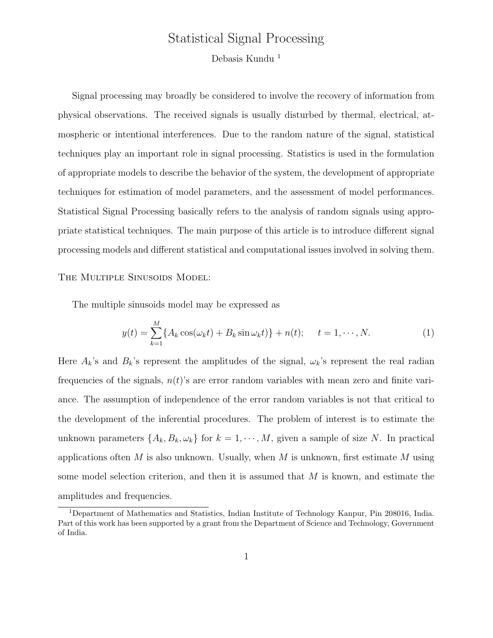## Statistical Signal Processing

Debasis Kundu <sup>1</sup>

Signal processing may broadly be considered to involve the recovery of information from physical observations. The received signals is usually disturbed by thermal, electrical, atmospheric or intentional interferences. Due to the random nature of the signal, statistical techniques play an important role in signal processing. Statistics is used in the formulation of appropriate models to describe the behavior of the system, the development of appropriate techniques for estimation of model parameters, and the assessment of model performances. Statistical Signal Processing basically refers to the analysis of random signals using appropriate statistical techniques. The main purpose of this article is to introduce different signal processing models and different statistical and computational issues involved in solving them.

## THE MULTIPLE SINUSOIDS MODEL:

The multiple sinusoids model may be expressed as

$$
y(t) = \sum_{k=1}^{M} \{ A_k \cos(\omega_k t) + B_k \sin \omega_k t) \} + n(t); \quad t = 1, \cdots, N.
$$
 (1)

Here  $A_k$ 's and  $B_k$ 's represent the amplitudes of the signal,  $\omega_k$ 's represent the real radian frequencies of the signals,  $n(t)$ 's are error random variables with mean zero and finite variance. The assumption of independence of the error random variables is not that critical to the development of the inferential procedures. The problem of interest is to estimate the unknown parameters  $\{A_k, B_k, \omega_k\}$  for  $k = 1, \dots, M$ , given a sample of size N. In practical applications often M is also unknown. Usually, when M is unknown, first estimate M using some model selection criterion, and then it is assumed that  $M$  is known, and estimate the amplitudes and frequencies.

<sup>1</sup>Department of Mathematics and Statistics, Indian Institute of Technology Kanpur, Pin 208016, India. Part of this work has been supported by a grant from the Department of Science and Technology, Government of India.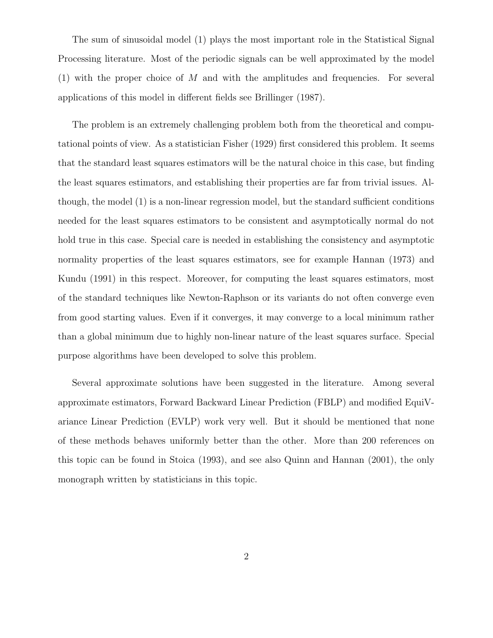The sum of sinusoidal model (1) plays the most important role in the Statistical Signal Processing literature. Most of the periodic signals can be well approximated by the model (1) with the proper choice of M and with the amplitudes and frequencies. For several applications of this model in different fields see Brillinger (1987).

The problem is an extremely challenging problem both from the theoretical and computational points of view. As a statistician Fisher (1929) first considered this problem. It seems that the standard least squares estimators will be the natural choice in this case, but finding the least squares estimators, and establishing their properties are far from trivial issues. Although, the model (1) is a non-linear regression model, but the standard sufficient conditions needed for the least squares estimators to be consistent and asymptotically normal do not hold true in this case. Special care is needed in establishing the consistency and asymptotic normality properties of the least squares estimators, see for example Hannan (1973) and Kundu (1991) in this respect. Moreover, for computing the least squares estimators, most of the standard techniques like Newton-Raphson or its variants do not often converge even from good starting values. Even if it converges, it may converge to a local minimum rather than a global minimum due to highly non-linear nature of the least squares surface. Special purpose algorithms have been developed to solve this problem.

Several approximate solutions have been suggested in the literature. Among several approximate estimators, Forward Backward Linear Prediction (FBLP) and modified EquiVariance Linear Prediction (EVLP) work very well. But it should be mentioned that none of these methods behaves uniformly better than the other. More than 200 references on this topic can be found in Stoica (1993), and see also Quinn and Hannan (2001), the only monograph written by statisticians in this topic.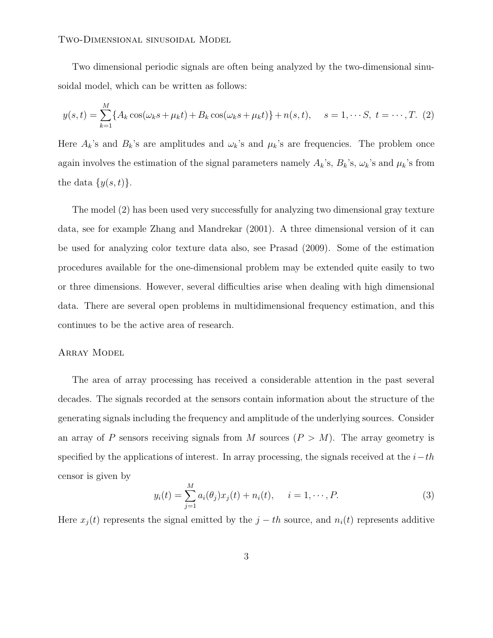Two-Dimensional sinusoidal Model

Two dimensional periodic signals are often being analyzed by the two-dimensional sinusoidal model, which can be written as follows:

$$
y(s,t) = \sum_{k=1}^{M} \{ A_k \cos(\omega_k s + \mu_k t) + B_k \cos(\omega_k s + \mu_k t) \} + n(s,t), \quad s = 1, \cdots S, \ t = \cdots, T.
$$
 (2)

Here  $A_k$ 's and  $B_k$ 's are amplitudes and  $\omega_k$ 's and  $\mu_k$ 's are frequencies. The problem once again involves the estimation of the signal parameters namely  $A_k$ 's,  $B_k$ 's,  $\omega_k$ 's and  $\mu_k$ 's from the data  $\{y(s,t)\}.$ 

The model (2) has been used very successfully for analyzing two dimensional gray texture data, see for example Zhang and Mandrekar (2001). A three dimensional version of it can be used for analyzing color texture data also, see Prasad (2009). Some of the estimation procedures available for the one-dimensional problem may be extended quite easily to two or three dimensions. However, several difficulties arise when dealing with high dimensional data. There are several open problems in multidimensional frequency estimation, and this continues to be the active area of research.

## ARRAY MODEL

The area of array processing has received a considerable attention in the past several decades. The signals recorded at the sensors contain information about the structure of the generating signals including the frequency and amplitude of the underlying sources. Consider an array of P sensors receiving signals from M sources  $(P > M)$ . The array geometry is specified by the applications of interest. In array processing, the signals received at the  $i-th$ censor is given by

$$
y_i(t) = \sum_{j=1}^{M} a_i(\theta_j) x_j(t) + n_i(t), \quad i = 1, \cdots, P.
$$
 (3)

Here  $x_j(t)$  represents the signal emitted by the  $j - th$  source, and  $n_i(t)$  represents additive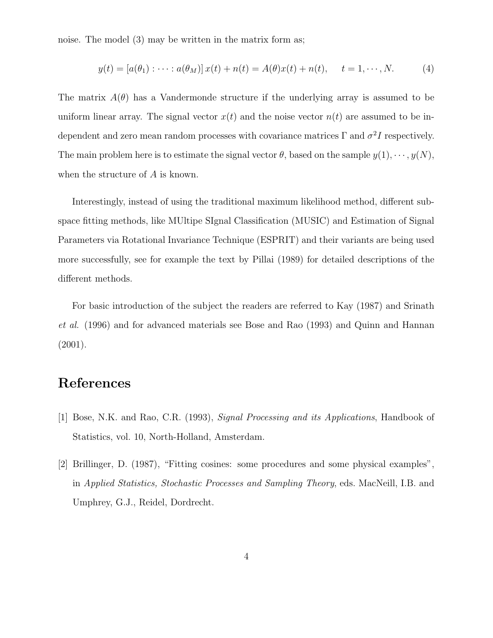noise. The model  $(3)$  may be written in the matrix form as;

$$
y(t) = [a(\theta_1) : \cdots : a(\theta_M)] x(t) + n(t) = A(\theta)x(t) + n(t), \quad t = 1, \cdots, N.
$$
 (4)

The matrix  $A(\theta)$  has a Vandermonde structure if the underlying array is assumed to be uniform linear array. The signal vector  $x(t)$  and the noise vector  $n(t)$  are assumed to be independent and zero mean random processes with covariance matrices  $\Gamma$  and  $\sigma^2 I$  respectively. The main problem here is to estimate the signal vector  $\theta$ , based on the sample  $y(1), \dots, y(N)$ , when the structure of A is known.

Interestingly, instead of using the traditional maximum likelihood method, different subspace fitting methods, like MUltipe SIgnal Classification (MUSIC) and Estimation of Signal Parameters via Rotational Invariance Technique (ESPRIT) and their variants are being used more successfully, see for example the text by Pillai (1989) for detailed descriptions of the different methods.

For basic introduction of the subject the readers are referred to Kay (1987) and Srinath et al. (1996) and for advanced materials see Bose and Rao (1993) and Quinn and Hannan (2001).

## References

- [1] Bose, N.K. and Rao, C.R. (1993), Signal Processing and its Applications, Handbook of Statistics, vol. 10, North-Holland, Amsterdam.
- [2] Brillinger, D. (1987), "Fitting cosines: some procedures and some physical examples", in Applied Statistics, Stochastic Processes and Sampling Theory, eds. MacNeill, I.B. and Umphrey, G.J., Reidel, Dordrecht.